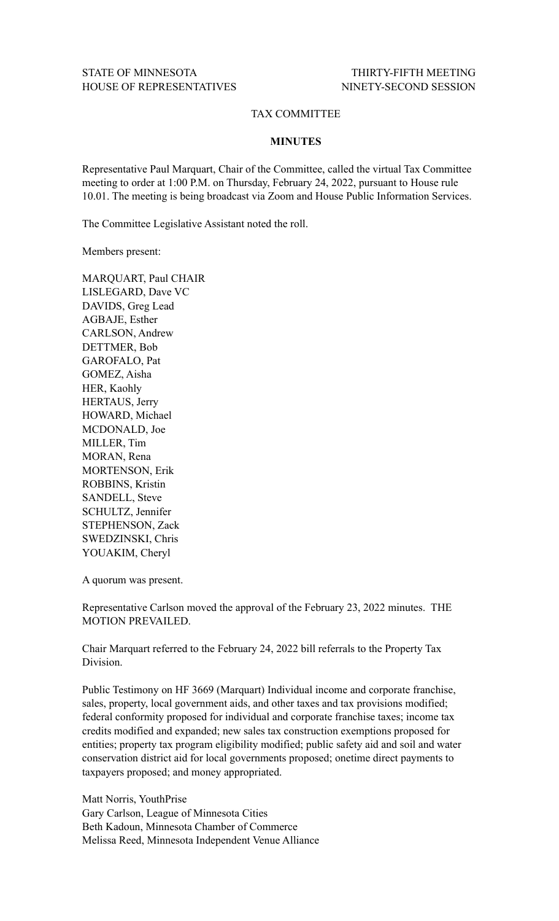## TAX COMMITTEE

## **MINUTES**

Representative Paul Marquart, Chair of the Committee, called the virtual Tax Committee meeting to order at 1:00 P.M. on Thursday, February 24, 2022, pursuant to House rule 10.01. The meeting is being broadcast via Zoom and House Public Information Services.

The Committee Legislative Assistant noted the roll.

Members present:

MARQUART, Paul CHAIR LISLEGARD, Dave VC DAVIDS, Greg Lead AGBAJE, Esther CARLSON, Andrew DETTMER, Bob GAROFALO, Pat GOMEZ, Aisha HER, Kaohly HERTAUS, Jerry HOWARD, Michael MCDONALD, Joe MILLER, Tim MORAN, Rena MORTENSON, Erik ROBBINS, Kristin SANDELL, Steve SCHULTZ, Jennifer STEPHENSON, Zack SWEDZINSKI, Chris YOUAKIM, Cheryl

A quorum was present.

Representative Carlson moved the approval of the February 23, 2022 minutes. THE MOTION PREVAILED.

Chair Marquart referred to the February 24, 2022 bill referrals to the Property Tax Division.

Public Testimony on HF 3669 (Marquart) Individual income and corporate franchise, sales, property, local government aids, and other taxes and tax provisions modified; federal conformity proposed for individual and corporate franchise taxes; income tax credits modified and expanded; new sales tax construction exemptions proposed for entities; property tax program eligibility modified; public safety aid and soil and water conservation district aid for local governments proposed; onetime direct payments to taxpayers proposed; and money appropriated.

Matt Norris, YouthPrise Gary Carlson, League of Minnesota Cities Beth Kadoun, Minnesota Chamber of Commerce Melissa Reed, Minnesota Independent Venue Alliance